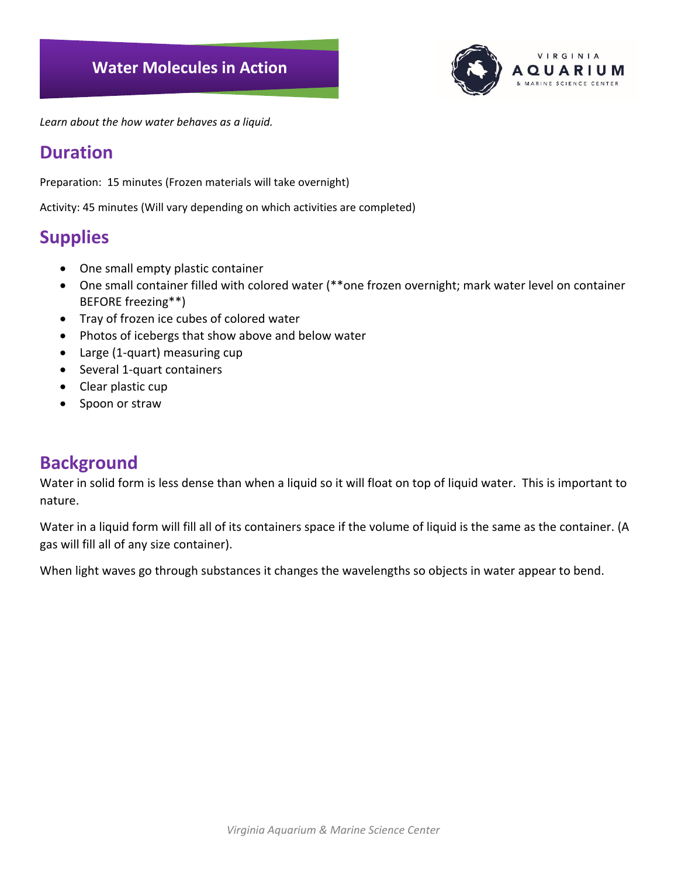

*Learn about the how water behaves as a liquid.*

# **Duration**

Preparation: 15 minutes (Frozen materials will take overnight)

Activity: 45 minutes (Will vary depending on which activities are completed)

# **Supplies**

- One small empty plastic container
- One small container filled with colored water (\*\*one frozen overnight; mark water level on container BEFORE freezing\*\*)
- Tray of frozen ice cubes of colored water
- Photos of icebergs that show above and below water
- Large (1-quart) measuring cup
- Several 1-quart containers
- Clear plastic cup
- Spoon or straw

# **Background**

Water in solid form is less dense than when a liquid so it will float on top of liquid water. This is important to nature.

Water in a liquid form will fill all of its containers space if the volume of liquid is the same as the container. (A gas will fill all of any size container).

When light waves go through substances it changes the wavelengths so objects in water appear to bend.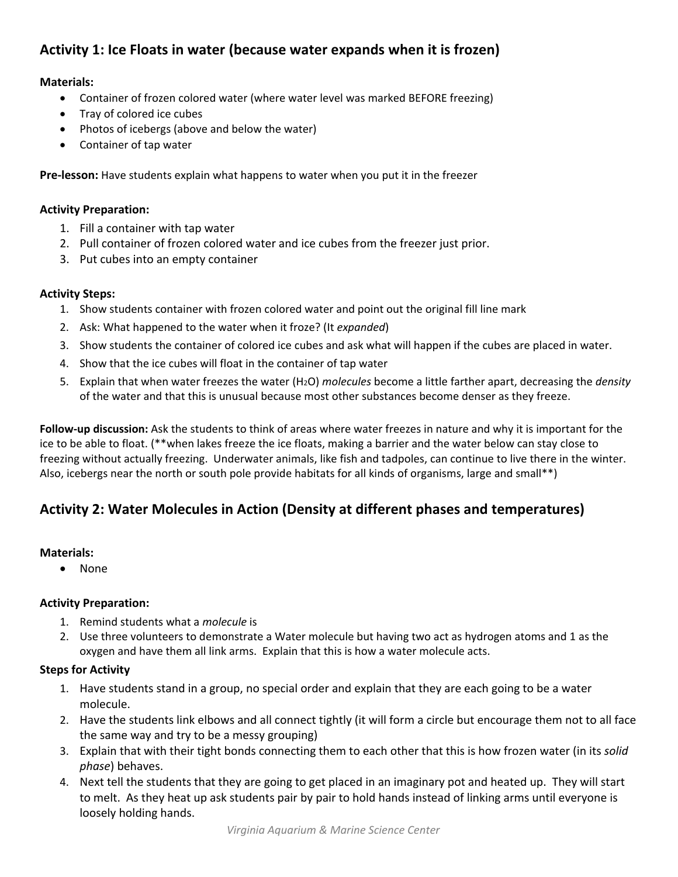## **Activity 1: Ice Floats in water (because water expands when it is frozen)**

#### **Materials:**

- Container of frozen colored water (where water level was marked BEFORE freezing)
- Tray of colored ice cubes
- Photos of icebergs (above and below the water)
- Container of tap water

**Pre-lesson:** Have students explain what happens to water when you put it in the freezer

#### **Activity Preparation:**

- 1. Fill a container with tap water
- 2. Pull container of frozen colored water and ice cubes from the freezer just prior.
- 3. Put cubes into an empty container

#### **Activity Steps:**

- 1. Show students container with frozen colored water and point out the original fill line mark
- 2. Ask: What happened to the water when it froze? (It *expanded*)
- 3. Show students the container of colored ice cubes and ask what will happen if the cubes are placed in water.
- 4. Show that the ice cubes will float in the container of tap water
- 5. Explain that when water freezes the water (H2O) *molecules* become a little farther apart, decreasing the *density* of the water and that this is unusual because most other substances become denser as they freeze.

**Follow-up discussion:** Ask the students to think of areas where water freezes in nature and why it is important for the ice to be able to float. (\*\*when lakes freeze the ice floats, making a barrier and the water below can stay close to freezing without actually freezing. Underwater animals, like fish and tadpoles, can continue to live there in the winter. Also, icebergs near the north or south pole provide habitats for all kinds of organisms, large and small\*\*)

## **Activity 2: Water Molecules in Action (Density at different phases and temperatures)**

#### **Materials:**

• None

#### **Activity Preparation:**

- 1. Remind students what a *molecule* is
- 2. Use three volunteers to demonstrate a Water molecule but having two act as hydrogen atoms and 1 as the oxygen and have them all link arms. Explain that this is how a water molecule acts.

#### **Steps for Activity**

- 1. Have students stand in a group, no special order and explain that they are each going to be a water molecule.
- 2. Have the students link elbows and all connect tightly (it will form a circle but encourage them not to all face the same way and try to be a messy grouping)
- 3. Explain that with their tight bonds connecting them to each other that this is how frozen water (in its *solid phase*) behaves.
- 4. Next tell the students that they are going to get placed in an imaginary pot and heated up. They will start to melt. As they heat up ask students pair by pair to hold hands instead of linking arms until everyone is loosely holding hands.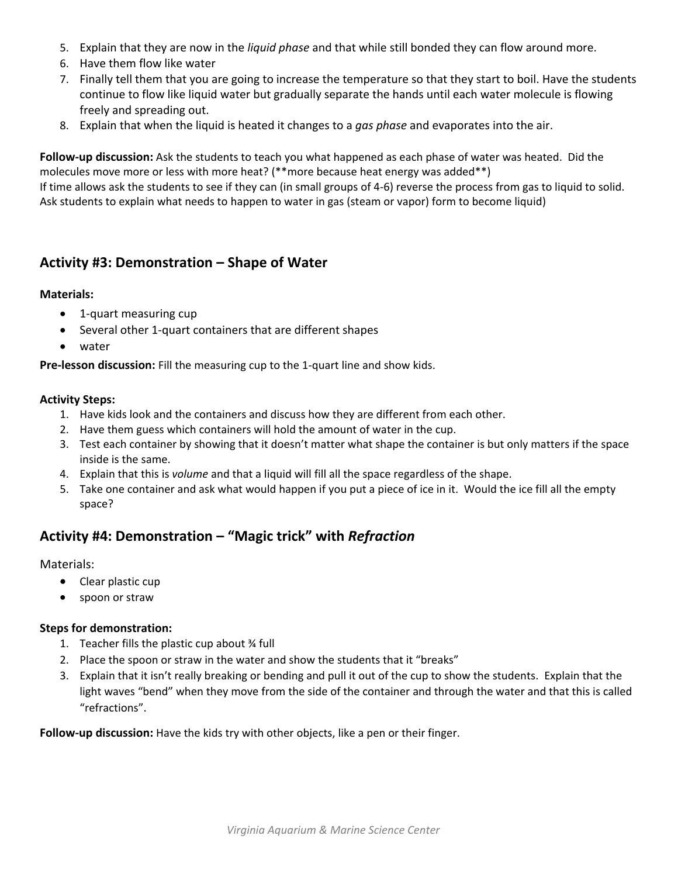- 5. Explain that they are now in the *liquid phase* and that while still bonded they can flow around more.
- 6. Have them flow like water
- 7. Finally tell them that you are going to increase the temperature so that they start to boil. Have the students continue to flow like liquid water but gradually separate the hands until each water molecule is flowing freely and spreading out.
- 8. Explain that when the liquid is heated it changes to a *gas phase* and evaporates into the air.

**Follow-up discussion:** Ask the students to teach you what happened as each phase of water was heated. Did the molecules move more or less with more heat? (\*\*more because heat energy was added\*\*) If time allows ask the students to see if they can (in small groups of 4-6) reverse the process from gas to liquid to solid. Ask students to explain what needs to happen to water in gas (steam or vapor) form to become liquid)

### **Activity #3: Demonstration – Shape of Water**

#### **Materials:**

- 1-quart measuring cup
- Several other 1-quart containers that are different shapes
- water

**Pre-lesson discussion:** Fill the measuring cup to the 1-quart line and show kids.

#### **Activity Steps:**

- 1. Have kids look and the containers and discuss how they are different from each other.
- 2. Have them guess which containers will hold the amount of water in the cup.
- 3. Test each container by showing that it doesn't matter what shape the container is but only matters if the space inside is the same.
- 4. Explain that this is *volume* and that a liquid will fill all the space regardless of the shape.
- 5. Take one container and ask what would happen if you put a piece of ice in it. Would the ice fill all the empty space?

## **Activity #4: Demonstration – "Magic trick" with** *Refraction*

Materials:

- Clear plastic cup
- spoon or straw

#### **Steps for demonstration:**

- 1. Teacher fills the plastic cup about ¾ full
- 2. Place the spoon or straw in the water and show the students that it "breaks"
- 3. Explain that it isn't really breaking or bending and pull it out of the cup to show the students. Explain that the light waves "bend" when they move from the side of the container and through the water and that this is called "refractions".

**Follow-up discussion:** Have the kids try with other objects, like a pen or their finger.